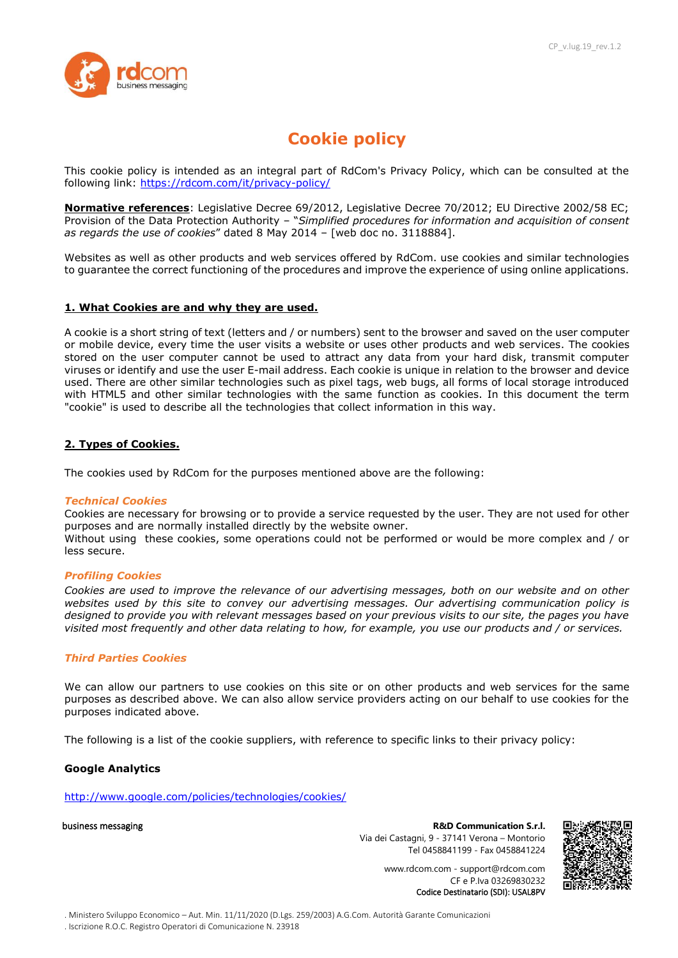

# **Cookie policy**

This cookie policy is intended as an integral part of RdCom's Privacy Policy, which can be consulted at the following link:<https://rdcom.com/it/privacy-policy/>

**Normative references**: Legislative Decree 69/2012, Legislative Decree 70/2012; EU Directive 2002/58 EC; Provision of the Data Protection Authority – "*Simplified procedures for information and acquisition of consent as regards the use of cookies*" dated 8 May 2014 – [web doc no. 3118884].

Websites as well as other products and web services offered by RdCom. use cookies and similar technologies to guarantee the correct functioning of the procedures and improve the experience of using online applications.

#### **1. What Cookies are and why they are used.**

A cookie is a short string of text (letters and / or numbers) sent to the browser and saved on the user computer or mobile device, every time the user visits a website or uses other products and web services. The cookies stored on the user computer cannot be used to attract any data from your hard disk, transmit computer viruses or identify and use the user E-mail address. Each cookie is unique in relation to the browser and device used. There are other similar technologies such as pixel tags, web bugs, all forms of local storage introduced with HTML5 and other similar technologies with the same function as cookies. In this document the term "cookie" is used to describe all the technologies that collect information in this way.

## **2. Types of Cookies.**

The cookies used by RdCom for the purposes mentioned above are the following:

#### *Technical Cookies*

Cookies are necessary for browsing or to provide a service requested by the user. They are not used for other purposes and are normally installed directly by the website owner.

Without using these cookies, some operations could not be performed or would be more complex and / or less secure.

#### *Profiling Cookies*

*Cookies are used to improve the relevance of our advertising messages, both on our website and on other websites used by this site to convey our advertising messages. Our advertising communication policy is designed to provide you with relevant messages based on your previous visits to our site, the pages you have visited most frequently and other data relating to how, for example, you use our products and / or services.*

# *Third Parties Cookies*

We can allow our partners to use cookies on this site or on other products and web services for the same purposes as described above. We can also allow service providers acting on our behalf to use cookies for the purposes indicated above.

The following is a list of the cookie suppliers, with reference to specific links to their privacy policy:

#### **Google Analytics**

<http://www.google.com/policies/technologies/cookies/>

business messaging **R&D Communication S.r.l.** Via dei Castagni, 9 - 37141 Verona – Montorio Tel 0458841199 - Fax 0458841224



www.rdcom.com - support@rdcom.com CF e P.Iva 03269830232 Codice Destinatario (SDI): USAL8PV